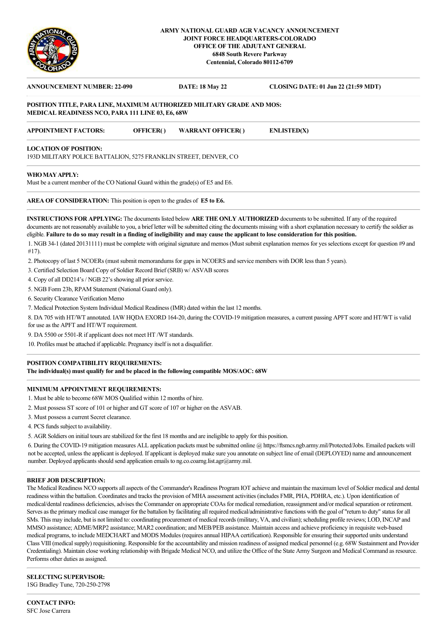

### **ARMY NATIONAL GUARD AGR VACANCY ANNOUNCEMENT JOINT FORCE HEADQUARTERS-COLORADO OFFICE OF THE ADJUTANT GENERAL 6848 South Revere Parkway Centennial, Colorado 80112-6709**

# **ANNOUNCEMENT NUMBER: 22-090 DATE: 18 May 22 CLOSING DATE: 01 Jun 22 (21:59 MDT) POSITION TITLE, PARA LINE, MAXIMUM AUTHORIZED MILITARY GRADE AND MOS: MEDICAL READINESS NCO, PARA 111 LINE 03, E6, 68W APPOINTMENT FACTORS: OFFICER( ) WARRANT OFFICER( ) ENLISTED(X) LOCATION OF POSITION:**  193D MILITARY POLICE BATTALION, 5275 FRANKLIN STREET, DENVER, CO **WHO MAY APPLY:**

Must be a current member of the CO National Guard within the grade(s) of E5 and E6.

**AREA OF CONSIDERATION:** This position is open to the grades of **E5 to E6.**

**INSTRUCTIONS FOR APPLYING:** The documents listed below **ARE THE ONLY AUTHORIZED** documents to be submitted. If any of the required documents are not reasonably available to you, a brief letter will be submitted citing the documents missing with a short explanation necessary to certify the soldier as eligible. **Failure to do so may result in a finding of ineligibility and may cause the applicant to lose consideration for this position.**

1. NGB 34-1 (dated 20131111) must be complete with original signature and memos (Must submit explanation memos for yes selections except for question #9 and #17).

2. Photocopy of last 5 NCOERs (must submit memorandums for gaps in NCOERS and service members with DOR less than 5 years).

3. Certified Selection Board Copy of Soldier Record Brief (SRB) w/ ASVAB scores

4. Copy of all DD214's / NGB 22's showing all prior service.

5. NGB Form 23b, RPAM Statement (National Guard only).

6. Security Clearance Verification Memo

7. Medical Protection System Individual Medical Readiness (IMR) dated within the last 12 months.

8. DA 705 with HT/WT annotated. IAW HQDA EXORD 164-20, during the COVID-19 mitigation measures, a current passing APFT score and HT/WT is valid for use as the APFT and HT/WT requirement.

9. DA 5500 or 5501-R if applicant does not meet HT /WT standards.

10. Profiles must be attached if applicable. Pregnancy itself is not a disqualifier.

#### **POSITION COMPATIBILITY REQUIREMENTS:**

**The individual(s) must qualify for and be placed in the following compatible MOS/AOC: 68W**

### **MINIMUM APPOINTMENT REQUIREMENTS:**

- 1. Must be able to become 68W MOS Qualified within 12 months of hire.
- 2. Must possess ST score of 101 or higher and GT score of 107 or higher on the ASVAB.
- 3. Must possess a current Secret clearance.
- 4. PCS funds subject to availability.
- 5. AGR Soldiers on initial tours are stabilized for the first 18 months and are ineligible to apply for this position.

6. During the COVID-19 mitigation measures ALL application packets must be submitted online @ https://ftsmcs.ngb.army.mil/Protected/Jobs. Emailed packets will not be accepted, unless the applicant is deployed. If applicant is deployed make sure you annotate on subject line of email (DEPLOYED) name and announcement number. Deployed applicants should send application emails to ng.co.coarng.list.agr@army.mil.

#### **BRIEF JOB DESCRIPTION:**

The Medical Readiness NCO supports all aspects of the Commander's Readiness Program IOT achieve and maintain the maximum level of Soldier medical and dental readiness within the battalion. Coordinates and tracks the provision of MHA assessment activities (includes FMR, PHA, PDHRA, etc.). Upon identification of medical/dental readiness deficiencies, advises the Commander on appropriate COAs for medical remediation, reassignment and/or medical separation or retirement. Serves as the primary medical case manager for the battalion by facilitating all required medical/administrative functions with the goal of "return to duty" status for all SMs. This may include, but is not limited to: coordinating procurement of medical records (military, VA, and civilian); scheduling profile reviews; LOD, INCAP and MMSO assistance; ADME/MRP2 assistance; MAR2 coordination; and MEB/PEB assistance. Maintain access and achieve proficiency in requisite web-based medical programs, to include MEDCHART and MODS Modules (requires annual HIPAA certification). Responsible for ensuring their supported units understand Class VIII (medical supply) requisitioning. Responsible for the accountability and mission readiness of assigned medical personnel (e.g. 68W Sustainment and Provider Credentialing). Maintain close working relationship with Brigade Medical NCO, and utilize the Office of the State Army Surgeon and Medical Command as resource. Performs other duties as assigned.

**SELECTING SUPERVISOR:** 1SG Bradley Tune, 720-250-2798

**CONTACT INFO:** SFC Jose Carrera